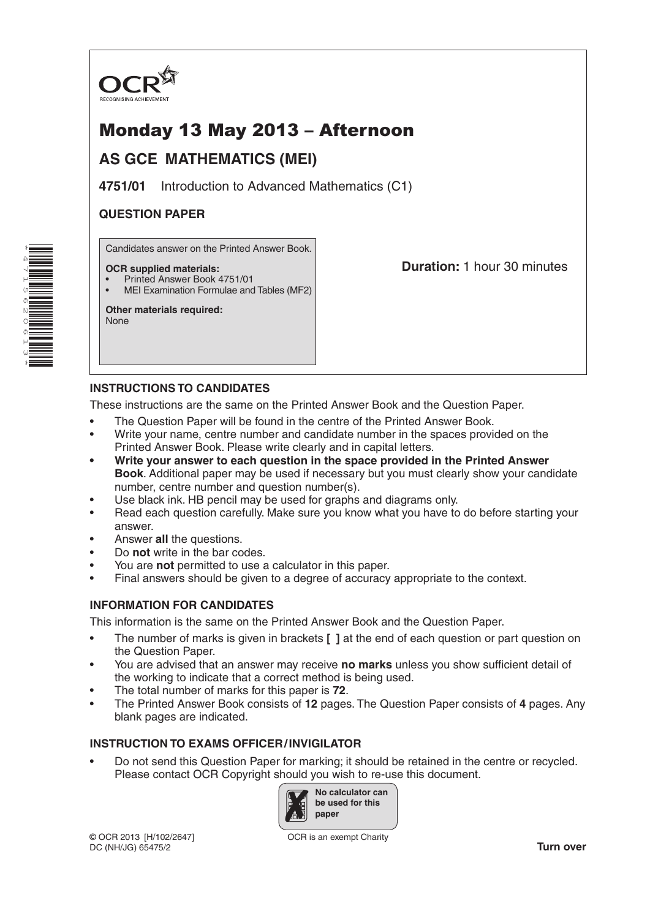

# Monday 13 May 2013 – Afternoon

## **AS GCE MATHEMATICS (MEI)**

**4751/01** Introduction to Advanced Mathematics (C1)

## **QUESTION PAPER**

Candidates answer on the Printed Answer Book.

#### **OCR supplied materials:**

- Printed Answer Book 4751/01
- MEI Examination Formulae and Tables (MF2)

**Other materials required:** None

**Duration:** 1 hour 30 minutes

## **INSTRUCTIONS TO CANDIDATES**

These instructions are the same on the Printed Answer Book and the Question Paper.

- The Question Paper will be found in the centre of the Printed Answer Book.
- Write your name, centre number and candidate number in the spaces provided on the Printed Answer Book. Please write clearly and in capital letters.
- **• Write your answer to each question in the space provided in the Printed Answer Book**. Additional paper may be used if necessary but you must clearly show your candidate number, centre number and question number(s).
- Use black ink. HB pencil may be used for graphs and diagrams only.
- Read each question carefully. Make sure you know what you have to do before starting your answer.
- Answer **all** the questions.
- Do **not** write in the bar codes.
- You are **not** permitted to use a calculator in this paper.
- Final answers should be given to a degree of accuracy appropriate to the context.

### **INFORMATION FOR CANDIDATES**

This information is the same on the Printed Answer Book and the Question Paper.

- The number of marks is given in brackets **[ ]** at the end of each question or part question on the Question Paper.
- You are advised that an answer may receive **no marks** unless you show sufficient detail of the working to indicate that a correct method is being used.
- The total number of marks for this paper is **72**.
- The Printed Answer Book consists of **12** pages. The Question Paper consists of **4** pages. Any blank pages are indicated.

## **INSTRUCTION TO EXAMS OFFICER/INVIGILATOR**

• Do not send this Question Paper for marking; it should be retained in the centre or recycled. Please contact OCR Copyright should you wish to re-use this document.



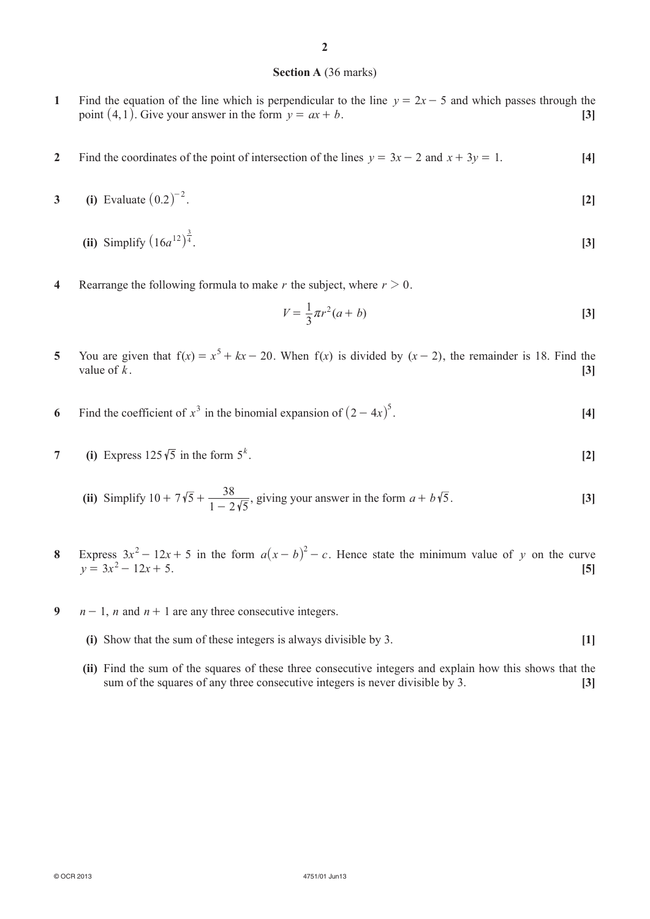#### **Section A** (36 marks)

- **1** Find the equation of the line which is perpendicular to the line  $y = 2x 5$  and which passes through the point  $(4, 1)$ . Give your answer in the form  $y = ax + b$ . [3]
- **2** Find the coordinates of the point of intersection of the lines  $y = 3x 2$  and  $x + 3y = 1$ . [4]
- **3 (i)** Evaluate  $(0.2)^{-2}$ . **[2]** 
	- **(ii)** Simplify  $(16a^{12})^{\frac{3}{4}}$  $(16a^{12})^{\overline{4}}$ . [3]
- **4** Rearrange the following formula to make *r* the subject, where  $r > 0$ .

$$
V = \frac{1}{3}\pi r^2 (a+b)
$$
 [3]

- **5** You are given that  $f(x) = x^5 + kx 20$ . When  $f(x)$  is divided by  $(x 2)$ , the remainder is 18. Find the value of  $k$ .  $[3]$
- **6** Find the coefficient of  $x^3$  in the binomial expansion of  $(2 4x)^5$ . [4]
- **7 (i)** Express  $125\sqrt{5}$  in the form  $5^k$ . . **[2]**
	- **(ii)** Simplify  $10 + 7\sqrt{5} + \frac{38}{1 2\sqrt{5}}$ , giving your answer in the form  $a + b\sqrt{5}$ . [3]
- **8** Express  $3x^2 12x + 5$  in the form  $a(x b)^2 c$ . Hence state the minimum value of *y* on the curve  $y = 3x^2 - 12x + 5$ . [5]
- **9**  $n-1$ , *n* and  $n+1$  are any three consecutive integers.
	- **(i)** Show that the sum of these integers is always divisible by 3. **[1]**
	- **(ii)** Find the sum of the squares of these three consecutive integers and explain how this shows that the sum of the squares of any three consecutive integers is never divisible by 3. **[3]**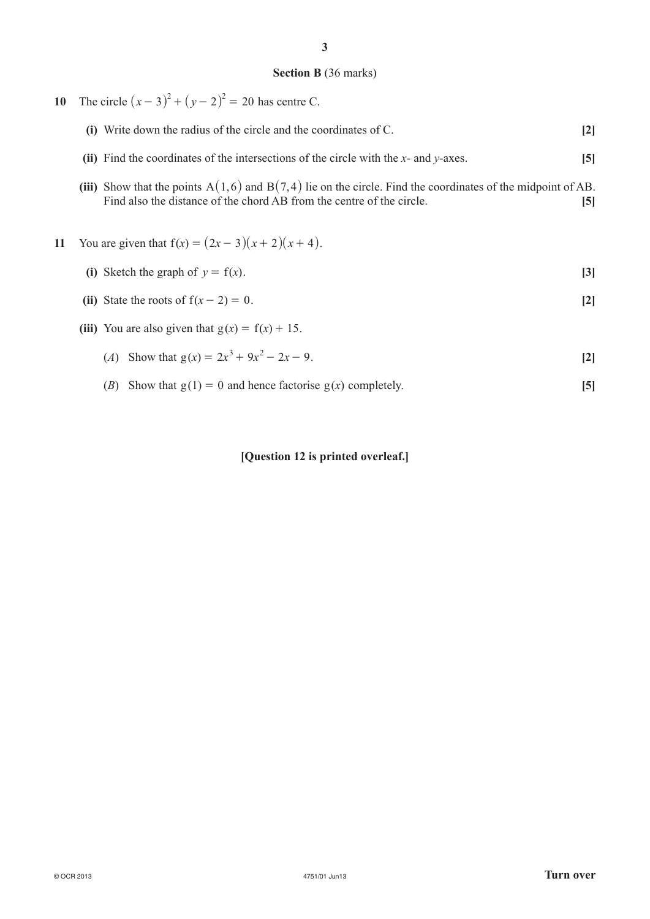#### **Section B** (36 marks)

**10** The circle  $(x - 3)^2 + (y - 2)^2 = 20$  has centre C.

| (i) Write down the radius of the circle and the coordinates of C. |  |
|-------------------------------------------------------------------|--|
|                                                                   |  |

- **(ii)** Find the coordinates of the intersections of the circle with the *x* and *y*-axes. **[5]**
- (iii) Show that the points  $A(1,6)$  and  $B(7,4)$  lie on the circle. Find the coordinates of the midpoint of AB. Find also the distance of the chord AB from the centre of the circle. **[5]**

## **11** You are given that  $f(x) = (2x - 3)(x + 2)(x + 4)$ .

- (i) Sketch the graph of  $y = f(x)$ . [3]
- **(ii)** State the roots of  $f(x 2) = 0$ . [2]
- (iii) You are also given that  $g(x) = f(x) + 15$ .
	- (*A*) Show that  $g(x) = 2x^3 + 9x^2 2x 9$ . [2]
	- (*B*) Show that  $g(1) = 0$  and hence factorise  $g(x)$  completely. [5]

#### **[Question 12 is printed overleaf.]**